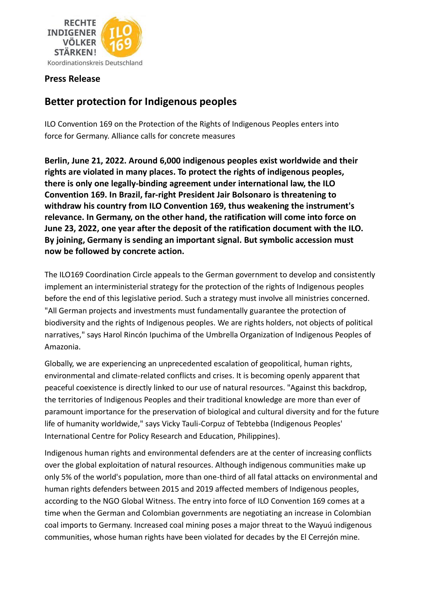

## **Press Release**

## **Better protection for Indigenous peoples**

ILO Convention 169 on the Protection of the Rights of Indigenous Peoples enters into force for Germany. Alliance calls for concrete measures

**Berlin, June 21, 2022. Around 6,000 indigenous peoples exist worldwide and their rights are violated in many places. To protect the rights of indigenous peoples, there is only one legally-binding agreement under international law, the ILO Convention 169. In Brazil, far-right President Jair Bolsonaro is threatening to withdraw his country from ILO Convention 169, thus weakening the instrument's relevance. In Germany, on the other hand, the ratification will come into force on June 23, 2022, one year after the deposit of the ratification document with the ILO. By joining, Germany is sending an important signal. But symbolic accession must now be followed by concrete action.**

The ILO169 Coordination Circle appeals to the German government to develop and consistently implement an interministerial strategy for the protection of the rights of Indigenous peoples before the end of this legislative period. Such a strategy must involve all ministries concerned. "All German projects and investments must fundamentally guarantee the protection of biodiversity and the rights of Indigenous peoples. We are rights holders, not objects of political narratives," says Harol Rincón Ipuchima of the Umbrella Organization of Indigenous Peoples of Amazonia.

Globally, we are experiencing an unprecedented escalation of geopolitical, human rights, environmental and climate-related conflicts and crises. It is becoming openly apparent that peaceful coexistence is directly linked to our use of natural resources. "Against this backdrop, the territories of Indigenous Peoples and their traditional knowledge are more than ever of paramount importance for the preservation of biological and cultural diversity and for the future life of humanity worldwide," says Vicky Tauli-Corpuz of Tebtebba (Indigenous Peoples' International Centre for Policy Research and Education, Philippines).

Indigenous human rights and environmental defenders are at the center of increasing conflicts over the global exploitation of natural resources. Although indigenous communities make up only 5% of the world's population, more than one-third of all fatal attacks on environmental and human rights defenders between 2015 and 2019 affected members of Indigenous peoples, according to the NGO Global Witness. The entry into force of ILO Convention 169 comes at a time when the German and Colombian governments are negotiating an increase in Colombian coal imports to Germany. Increased coal mining poses a major threat to the Wayuú indigenous communities, whose human rights have been violated for decades by the El Cerrejón mine.